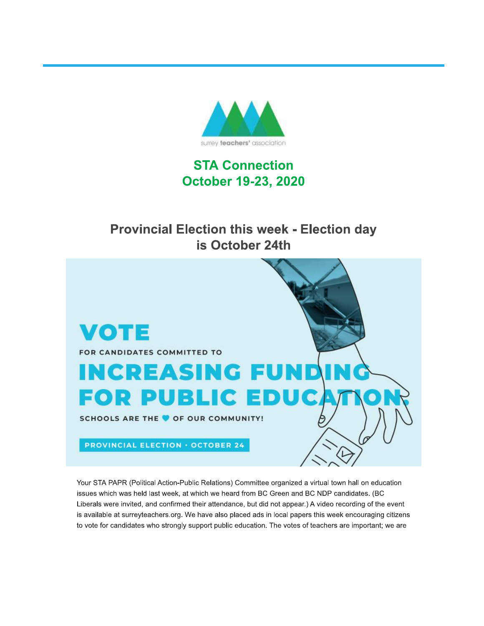

# **STA Connection October 19-23, 2020**

# **Provincial Election this week - Election day** is October 24th



Your STA PAPR (Political Action-Public Relations) Committee organized a virtual town hall on education issues which was held last week, at which we heard from BC Green and BC NDP candidates. (BC Liberals were invited, and confirmed their attendance, but did not appear.) A video recording of the event is available at surreyteachers.org. We have also placed ads in local papers this week encouraging citizens to vote for candidates who strongly support public education. The votes of teachers are important; we are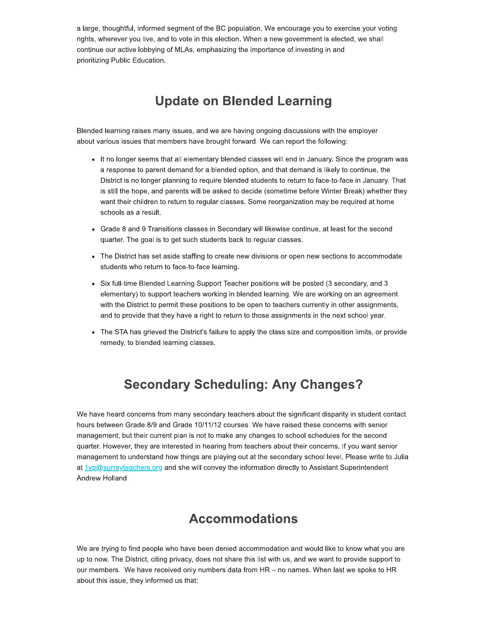a large, thoughtful, informed segment of the BC population. We encourage you to exercise your voting rights, wherever you live, and to vote in this election. When a new government is elected, we shall continue our active lobbying of MLAs, emphasizing the importance of investing in and prioritizing Public Education.

## **Update on Blended Learning**

Blended learning raises many issues, and we are having ongoing discussions with the employer about various issues that members have brought forward. We can report the following:

- It no longer seems that all elementary blended classes will end in January. Since the program was a response to parent demand for a blended option, and that demand is likely to continue, the District is no longer planning to require blended students to return to face-to-face in January. That is still the hope, and parents will be asked to decide (sometime before Winter Break) whether they want their children to return to regular classes. Some reorganization may be required at home schools as a result.
- Grade 8 and 9 Transitions classes in Secondary will likewise continue, at least for the second quarter. The goal is to get such students back to regular classes.
- The District has set aside staffing to create new divisions or open new sections to accommodate students who return to face-to-face learning.
- Six full-time Blended Learning Support Teacher positions will be posted (3 secondary, and 3 elementary) to support teachers working in blended learning. We are working on an agreement with the District to permit these positions to be open to teachers currently in other assignments, and to provide that they have a right to return to those assignments in the next school year.
- The STA has grieved the District's failure to apply the class size and composition limits, or provide remedy, to blended learning classes.

#### **Secondary Scheduling: Any Changes?**

We have heard concerns from many secondary teachers about the significant disparity in student contact hours between Grade 8/9 and Grade 10/11/12 courses. We have raised these concerns with senior management, but their current plan is not to make any changes to school schedules for the second quarter. However, they are interested in hearing from teachers about their concerns. If you want senior management to understand how things are playing out at the secondary school level, Please write to Julia at 1vp@surreyteachers.org and she will convey the information directly to Assistant Superintendent Andrew Holland.

#### **Accommodations**

We are trying to find people who have been denied accommodation and would like to know what you are up to now. The District, citing privacy, does not share this list with us, and we want to provide support to our members. We have received only numbers data from HR - no names. When last we spoke to HR about this issue, they informed us that: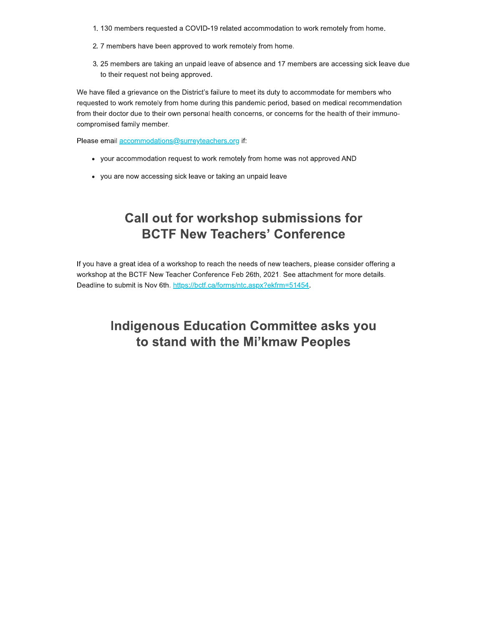- 1. 130 members requested a COVID-19 related accommodation to work remotely from home.
- 2. 7 members have been approved to work remotely from home.
- 3. 25 members are taking an unpaid leave of absence and 17 members are accessing sick leave due to their request not being approved.

We have filed a grievance on the District's failure to meet its duty to accommodate for members who requested to work remotely from home during this pandemic period, based on medical recommendation from their doctor due to their own personal health concerns, or concerns for the health of their immunocompromised family member.

Please email accommodations@surreyteachers.org if:

- your accommodation request to work remotely from home was not approved AND
- you are now accessing sick leave or taking an unpaid leave

## **Call out for workshop submissions for BCTF New Teachers' Conference**

If you have a great idea of a workshop to reach the needs of new teachers, please consider offering a workshop at the BCTF New Teacher Conference Feb 26th, 2021. See attachment for more details. Deadline to submit is Nov 6th. https://bctf.ca/forms/ntc.aspx?ekfrm=51454.

## **Indigenous Education Committee asks you** to stand with the Mi'kmaw Peoples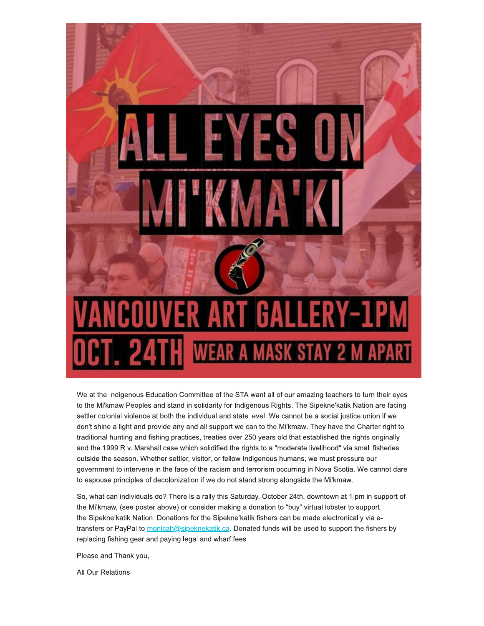

We at the Indigenous Education Committee of the STA want all of our amazing teachers to turn their eyes to the Mi'kmaw Peoples and stand in solidarity for Indigenous Rights. The Sipekne'katik Nation are facing settler colonial violence at both the individual and state level. We cannot be a social justice union if we don't shine a light and provide any and all support we can to the Mi'kmaw. They have the Charter right to traditional hunting and fishing practices, treaties over 250 years old that established the rights originally and the 1999 R v. Marshall case which solidified the rights to a "moderate livelihood" via small fisheries outside the season. Whether settler, visitor, or fellow Indigenous humans, we must pressure our government to intervene in the face of the racism and terrorism occurring in Nova Scotia. We cannot dare to espouse principles of decolonization if we do not stand strong alongside the Mi'kmaw.

So, what can individuals do? There is a rally this Saturday, October 24th, downtown at 1 pm in support of the Mi'kmaw, (see poster above) or consider making a donation to "buy" virtual lobster to support the Sipekne'katik Nation. Donations for the Sipekne'katik fishers can be made electronically via etransfers or PayPal to monicah@sipeknekatik.ca. Donated funds will be used to support the fishers by replacing fishing gear and paying legal and wharf fees

Please and Thank you,

All Our Relations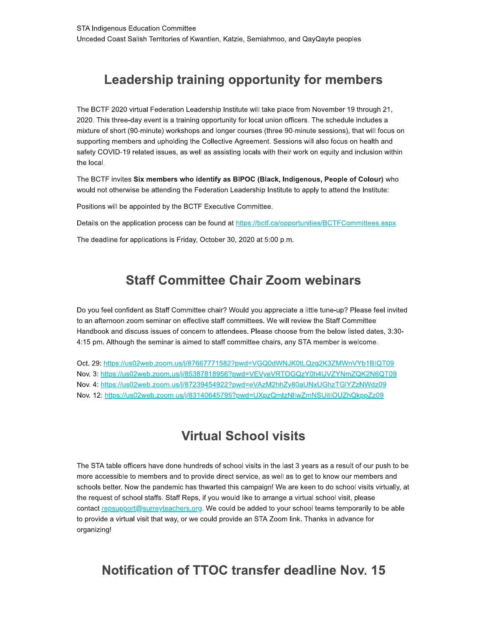# Leadership training opportunity for members

The BCTF 2020 virtual Federation Leadership Institute will take place from November 19 through 21, 2020. This three-day event is a training opportunity for local union officers. The schedule includes a mixture of short (90-minute) workshops and longer courses (three 90-minute sessions), that will focus on supporting members and upholding the Collective Agreement. Sessions will also focus on health and safety COVID-19 related issues, as well as assisting locals with their work on equity and inclusion within the local.

The BCTF invites Six members who identify as BIPOC (Black, Indigenous, People of Colour) who would not otherwise be attending the Federation Leadership Institute to apply to attend the Institute:

Positions will be appointed by the BCTF Executive Committee.

Details on the application process can be found at https://bctf.ca/opportunities/BCTFCommittees.aspx

The deadline for applications is Friday, October 30, 2020 at 5:00 p.m.

#### **Staff Committee Chair Zoom webinars**

Do you feel confident as Staff Committee chair? Would you appreciate a little tune-up? Please feel invited to an afternoon zoom seminar on effective staff committees. We will review the Staff Committee Handbook and discuss issues of concern to attendees. Please choose from the below listed dates, 3:30-4:15 pm. Although the seminar is aimed to staff committee chairs, any STA member is welcome.

Oct. 29: https://us02web.zoom.us/j/87667771582?pwd=VGQ0dWNJK0tLQzg2K3ZMWnVYb1BIQT09 Nov. 3: https://us02web.zoom.us/j/85387818956?pwd=VEVyeVRTOGQzY0h4UVZYNmZQK2N6QT09 Nov. 4: https://us02web.zoom.us/j/87239454922?pwd=eVAzM2hhZy80aUNxUGhzTGIYZzNWdz09 Nov. 12: https://us02web.zoom.us/j/83140645795?pwd=UXpzQmlzNllwZmNSUitIOUZhQkppZz09

#### **Virtual School visits**

The STA table officers have done hundreds of school visits in the last 3 years as a result of our push to be more accessible to members and to provide direct service, as well as to get to know our members and schools better. Now the pandemic has thwarted this campaign! We are keen to do school visits virtually, at the request of school staffs. Staff Reps, if you would like to arrange a virtual school visit, please contact repsupport@surreyteachers.org. We could be added to your school teams temporarily to be able to provide a virtual visit that way, or we could provide an STA Zoom link. Thanks in advance for organizing!

## Notification of TTOC transfer deadline Nov. 15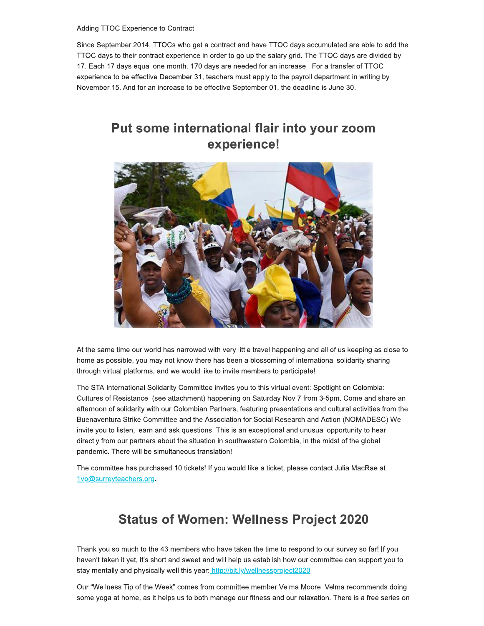Adding TTOC Experience to Contract

Since September 2014, TTOCs who get a contract and have TTOC days accumulated are able to add the TTOC days to their contract experience in order to go up the salary grid. The TTOC days are divided by 17. Each 17 days equal one month. 170 days are needed for an increase. For a transfer of TTOC experience to be effective December 31, teachers must apply to the payroll department in writing by November 15. And for an increase to be effective September 01, the deadline is June 30.

### Put some international flair into your zoom experience!



At the same time our world has narrowed with very little travel happening and all of us keeping as close to home as possible, you may not know there has been a blossoming of international solidarity sharing through virtual platforms, and we would like to invite members to participate!

The STA International Solidarity Committee invites you to this virtual event: Spotlight on Colombia: Cultures of Resistance (see attachment) happening on Saturday Nov 7 from 3-5pm. Come and share an afternoon of solidarity with our Colombian Partners, featuring presentations and cultural activities from the Buenaventura Strike Committee and the Association for Social Research and Action (NOMADESC) We invite you to listen, learn and ask questions. This is an exceptional and unusual opportunity to hear directly from our partners about the situation in southwestern Colombia, in the midst of the global pandemic. There will be simultaneous translation!

The committee has purchased 10 tickets! If you would like a ticket, please contact Julia MacRae at 1vp@surreyteachers.org.

# **Status of Women: Wellness Project 2020**

Thank you so much to the 43 members who have taken the time to respond to our survey so far! If you haven't taken it yet, it's short and sweet and will help us establish how our committee can support you to stay mentally and physically well this year: http://bit.ly/wellnessproject2020

Our "Wellness Tip of the Week" comes from committee member Velma Moore. Velma recommends doing some yoga at home, as it helps us to both manage our fitness and our relaxation. There is a free series on